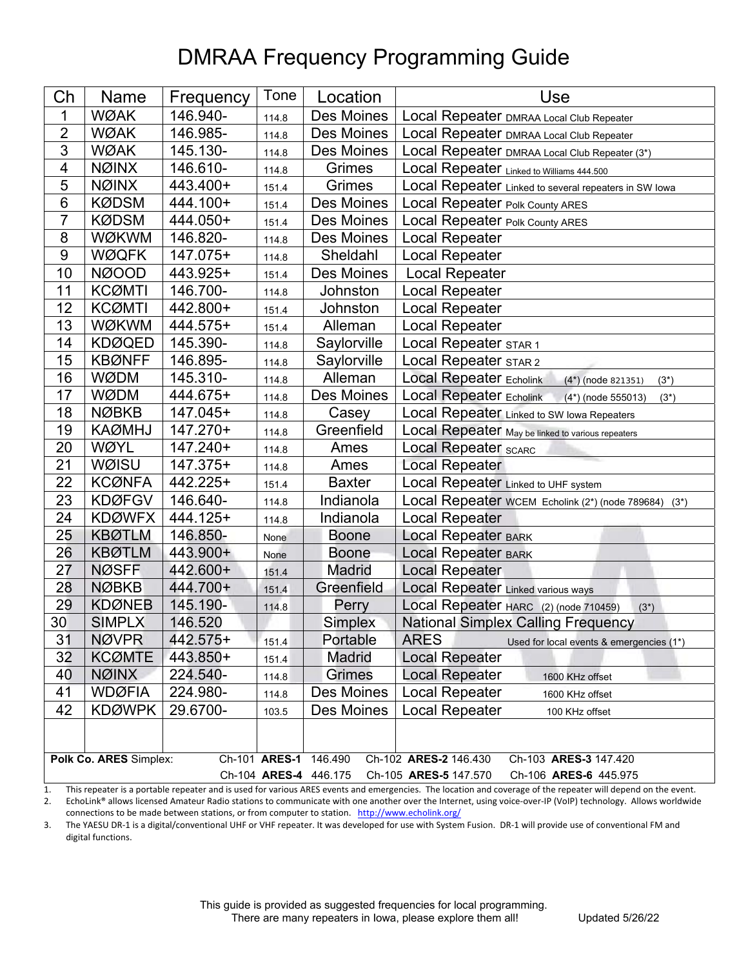## DMRAA Frequency Programming Guide

| Ch                                                                      | <b>Name</b>   | Frequency  | Tone  | Location      | Use                                                                  |  |  |  |
|-------------------------------------------------------------------------|---------------|------------|-------|---------------|----------------------------------------------------------------------|--|--|--|
| 1                                                                       | <b>WØAK</b>   | 146.940-   | 114.8 | Des Moines    | Local Repeater DMRAA Local Club Repeater                             |  |  |  |
| $\overline{c}$                                                          | <b>WØAK</b>   | 146.985-   | 114.8 | Des Moines    | Local Repeater DMRAA Local Club Repeater                             |  |  |  |
| $\overline{3}$                                                          | <b>WØAK</b>   | 145.130-   | 114.8 | Des Moines    | Local Repeater DMRAA Local Club Repeater (3*)                        |  |  |  |
| 4                                                                       | <b>NØINX</b>  | 146.610-   | 114.8 | Grimes        | Local Repeater Linked to Williams 444.500                            |  |  |  |
| $\overline{5}$                                                          | <b>NØINX</b>  | 443.400+   | 151.4 | Grimes        | Local Repeater Linked to several repeaters in SW lowa                |  |  |  |
| $6\phantom{1}6$                                                         | <b>KØDSM</b>  | 444.100+   | 151.4 | Des Moines    | Local Repeater Polk County ARES                                      |  |  |  |
| $\overline{7}$                                                          | <b>KØDSM</b>  | 444.050+   | 151.4 | Des Moines    | Local Repeater Polk County ARES                                      |  |  |  |
| $\bf 8$                                                                 | <b>WØKWM</b>  | 146.820-   | 114.8 | Des Moines    | Local Repeater                                                       |  |  |  |
| 9                                                                       | <b>WØQFK</b>  | 147.075+   | 114.8 | Sheldahl      | <b>Local Repeater</b>                                                |  |  |  |
| 10                                                                      | <b>NØOOD</b>  | 443.925+   | 151.4 | Des Moines    | <b>Local Repeater</b>                                                |  |  |  |
| 11                                                                      | <b>KCØMTI</b> | 146.700-   | 114.8 | Johnston      | <b>Local Repeater</b>                                                |  |  |  |
| 12                                                                      | <b>KCØMTI</b> | 442.800+   | 151.4 | Johnston      | <b>Local Repeater</b>                                                |  |  |  |
| 13                                                                      | <b>WØKWM</b>  | 444.575+   | 151.4 | Alleman       | <b>Local Repeater</b>                                                |  |  |  |
| 14                                                                      | <b>KDØQED</b> | 145.390-   | 114.8 | Saylorville   | Local Repeater STAR 1                                                |  |  |  |
| 15                                                                      | <b>KBØNFF</b> | 146.895-   | 114.8 | Saylorville   | Local Repeater STAR 2                                                |  |  |  |
| 16                                                                      | <b>WØDM</b>   | 145.310-   | 114.8 | Alleman       | <b>Local Repeater Echolink</b><br>$(4*)$ (node 821351)<br>$(3^*)$    |  |  |  |
| 17                                                                      | <b>WØDM</b>   | 444.675+   | 114.8 | Des Moines    | <b>Local Repeater Echolink</b><br>$(4^*)$ (node 555013)<br>$(3^{*})$ |  |  |  |
| 18                                                                      | <b>NØBKB</b>  | 147.045+   | 114.8 | Casey         | Local Repeater Linked to SW Iowa Repeaters                           |  |  |  |
| 19                                                                      | <b>KAØMHJ</b> | 147.270+   | 114.8 | Greenfield    | Local Repeater May be linked to various repeaters                    |  |  |  |
| 20                                                                      | WØYL          | 147.240+   | 114.8 | Ames          | Local Repeater SCARC                                                 |  |  |  |
| 21                                                                      | WØISU         | $147.375+$ | 114.8 | Ames          | <b>Local Repeater</b>                                                |  |  |  |
| 22                                                                      | <b>KCØNFA</b> | 442.225+   | 151.4 | <b>Baxter</b> | Local Repeater Linked to UHF system                                  |  |  |  |
| 23                                                                      | <b>KDØFGV</b> | 146.640-   | 114.8 | Indianola     | Local Repeater WCEM Echolink (2*) (node 789684) (3*)                 |  |  |  |
| 24                                                                      | <b>KDØWFX</b> | 444.125+   | 114.8 | Indianola     | <b>Local Repeater</b>                                                |  |  |  |
| 25                                                                      | <b>KBØTLM</b> | 146.850-   | None  | Boone         | <b>Local Repeater BARK</b>                                           |  |  |  |
| 26                                                                      | <b>KBØTLM</b> | 443.900+   | None  | Boone         | <b>Local Repeater BARK</b>                                           |  |  |  |
| 27                                                                      | <b>NØSFF</b>  | 442.600+   | 151.4 | Madrid        | <b>Local Repeater</b>                                                |  |  |  |
| 28                                                                      | <b>NØBKB</b>  | 444.700+   | 151.4 | Greenfield    | <b>Local Repeater Linked various ways</b>                            |  |  |  |
| 29                                                                      | <b>KDØNEB</b> | 145.190-   | 114.8 | Perry         | Local Repeater HARC (2) (node 710459)<br>$(3^{*})$                   |  |  |  |
| 30                                                                      | <b>SIMPLX</b> | 146.520    |       | Simplex       | <b>National Simplex Calling Frequency</b>                            |  |  |  |
| 31                                                                      | <b>NØVPR</b>  | 442.575+   | 151.4 | Portable      | <b>ARES</b><br>Used for local events & emergencies (1*)              |  |  |  |
| 32                                                                      | <b>KCØMTE</b> | 443.850+   | 151.4 | <b>Madrid</b> | <b>Local Repeater</b>                                                |  |  |  |
| 40                                                                      | <b>NØINX</b>  | 224.540-   | 114.8 | <b>Grimes</b> | Local Repeater<br>1600 KHz offset                                    |  |  |  |
| 41                                                                      | <b>WDØFIA</b> | 224.980-   | 114.8 | Des Moines    | <b>Local Repeater</b><br>1600 KHz offset                             |  |  |  |
| 42                                                                      | <b>KDØWPK</b> | 29.6700-   | 103.5 | Des Moines    | <b>Local Repeater</b><br>100 KHz offset                              |  |  |  |
|                                                                         |               |            |       |               |                                                                      |  |  |  |
| Polk Co. ARES Simplex:<br>Ch-101 ARES-1 146.490                         |               |            |       |               |                                                                      |  |  |  |
|                                                                         |               |            |       |               | Ch-102 ARES-2 146.430<br>Ch-103 ARES-3 147.420                       |  |  |  |
| Ch-104 ARES-4 446.175<br>Ch-105 ARES-5 147.570<br>Ch-106 ARES-6 445.975 |               |            |       |               |                                                                      |  |  |  |

1. This repeater is a portable repeater and is used for various ARES events and emergencies. The location and coverage of the repeater will depend on the event. 2. EchoLink® allows licensed Amateur Radio stations to communicate with one another over the Internet, using voice-over-IP (VoIP) technology. Allows worldwide

connections to be made between stations, or from computer to station. http://www.echolink.org/

3. The YAESU DR‐1 is a digital/conventional UHF or VHF repeater. It was developed for use with System Fusion. DR‐1 will provide use of conventional FM and digital functions.